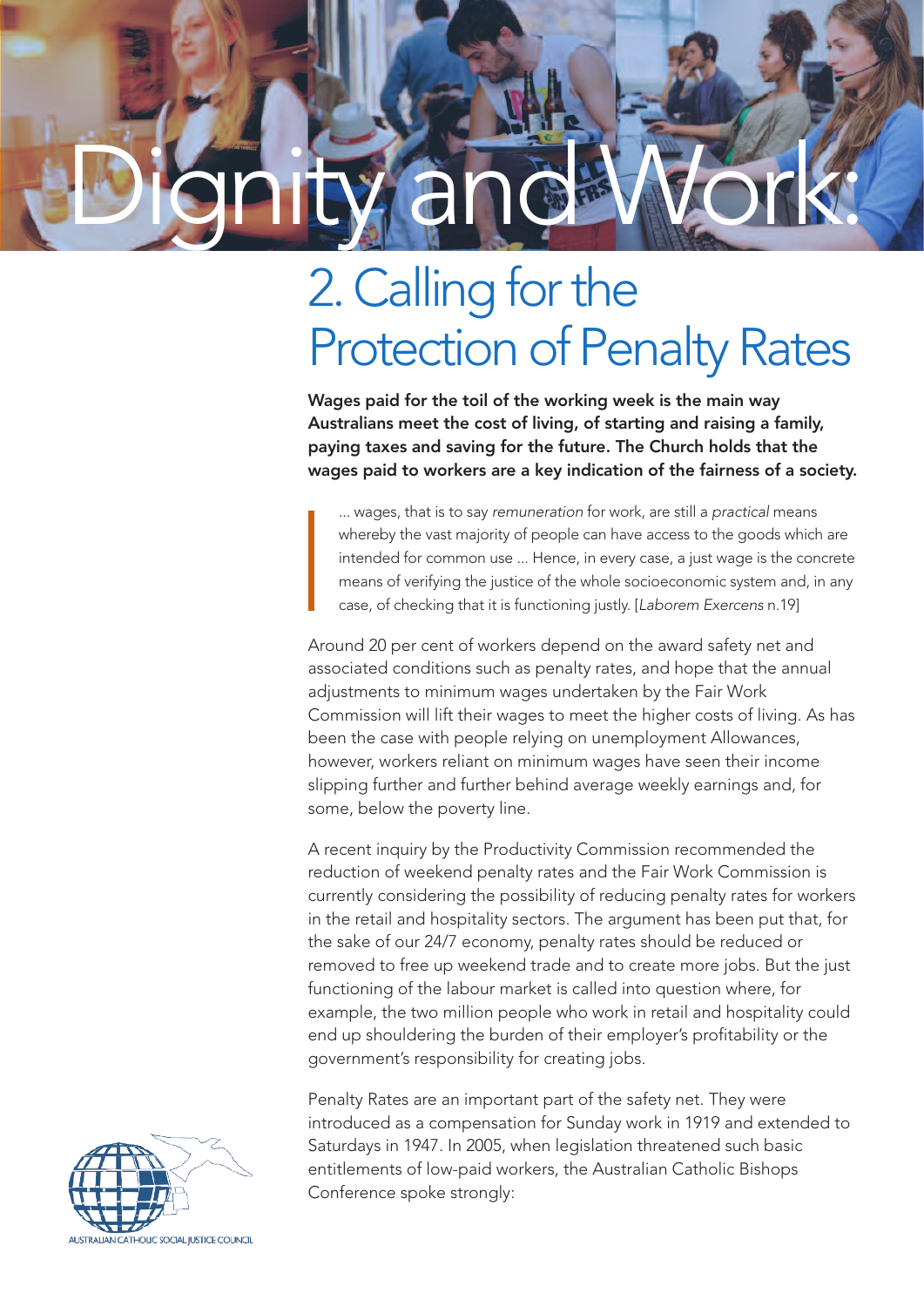# Dignity and Work:

# 2. Calling for the **Protection of Penalty Rates**

Wages paid for the toil of the working week is the main way Australians meet the cost of living, of starting and raising a family, paying taxes and saving for the future. The Church holds that the wages paid to workers are a key indication of the fairness of a society.

... wages, that is to say *remuneration* for work, are still a *practical* means whereby the vast majority of people can have access to the goods which are intended for common use ... Hence, in every case, a just wage is the concrete means of verifying the justice of the whole socioeconomic system and, in any case, of checking that it is functioning justly. [*Laborem Exercens* n.19]

Around 20 per cent of workers depend on the award safety net and associated conditions such as penalty rates, and hope that the annual adjustments to minimum wages undertaken by the Fair Work Commission will lift their wages to meet the higher costs of living. As has been the case with people relying on unemployment Allowances, however, workers reliant on minimum wages have seen their income slipping further and further behind average weekly earnings and, for some, below the poverty line.

A recent inquiry by the Productivity Commission recommended the reduction of weekend penalty rates and the Fair Work Commission is currently considering the possibility of reducing penalty rates for workers in the retail and hospitality sectors. The argument has been put that, for the sake of our 24/7 economy, penalty rates should be reduced or removed to free up weekend trade and to create more jobs. But the just functioning of the labour market is called into question where, for example, the two million people who work in retail and hospitality could end up shouldering the burden of their employer's profitability or the government's responsibility for creating jobs.

Penalty Rates are an important part of the safety net. They were introduced as a compensation for Sunday work in 1919 and extended to Saturdays in 1947. In 2005, when legislation threatened such basic entitlements of low-paid workers, the Australian Catholic Bishops Conference spoke strongly: